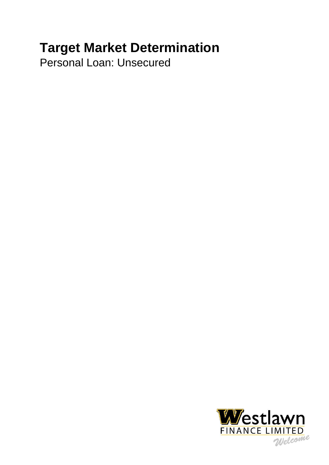# **Target Market Determination**

Personal Loan: Unsecured

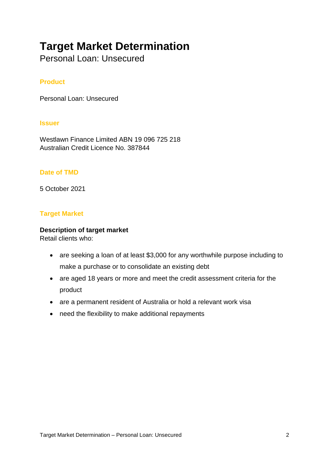# **Target Market Determination**

Personal Loan: Unsecured

# **Product**

Personal Loan: Unsecured

#### **Issuer**

Westlawn Finance Limited ABN 19 096 725 218 Australian Credit Licence No. 387844

## **Date of TMD**

5 October 2021

## **Target Market**

#### **Description of target market**

Retail clients who:

- are seeking a loan of at least \$3,000 for any worthwhile purpose including to make a purchase or to consolidate an existing debt
- are aged 18 years or more and meet the credit assessment criteria for the product
- are a permanent resident of Australia or hold a relevant work visa
- need the flexibility to make additional repayments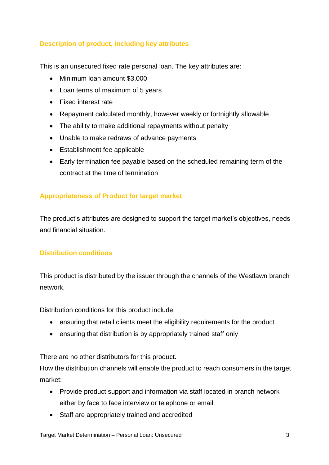# **Description of product, including key attributes**

This is an unsecured fixed rate personal loan. The key attributes are:

- Minimum loan amount \$3,000
- Loan terms of maximum of 5 years
- Fixed interest rate
- Repayment calculated monthly, however weekly or fortnightly allowable
- The ability to make additional repayments without penalty
- Unable to make redraws of advance payments
- Establishment fee applicable
- Early termination fee payable based on the scheduled remaining term of the contract at the time of termination

# **Appropriateness of Product for target market**

The product's attributes are designed to support the target market's objectives, needs and financial situation.

# **Distribution conditions**

This product is distributed by the issuer through the channels of the Westlawn branch network.

Distribution conditions for this product include:

- ensuring that retail clients meet the eligibility requirements for the product
- ensuring that distribution is by appropriately trained staff only

There are no other distributors for this product.

How the distribution channels will enable the product to reach consumers in the target market:

- Provide product support and information via staff located in branch network either by face to face interview or telephone or email
- Staff are appropriately trained and accredited